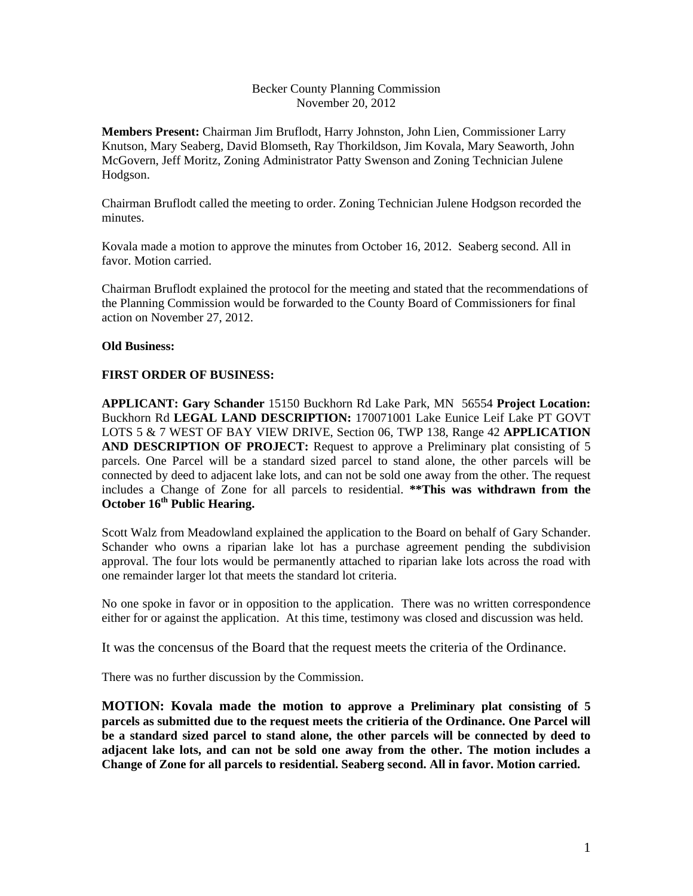### Becker County Planning Commission November 20, 2012

**Members Present:** Chairman Jim Bruflodt, Harry Johnston, John Lien, Commissioner Larry Knutson, Mary Seaberg, David Blomseth, Ray Thorkildson, Jim Kovala, Mary Seaworth, John McGovern, Jeff Moritz, Zoning Administrator Patty Swenson and Zoning Technician Julene Hodgson.

Chairman Bruflodt called the meeting to order. Zoning Technician Julene Hodgson recorded the minutes.

Kovala made a motion to approve the minutes from October 16, 2012. Seaberg second. All in favor. Motion carried.

Chairman Bruflodt explained the protocol for the meeting and stated that the recommendations of the Planning Commission would be forwarded to the County Board of Commissioners for final action on November 27, 2012.

# **Old Business:**

### **FIRST ORDER OF BUSINESS:**

**APPLICANT: Gary Schander** 15150 Buckhorn Rd Lake Park, MN 56554 **Project Location:** Buckhorn Rd **LEGAL LAND DESCRIPTION:** 170071001 Lake Eunice Leif Lake PT GOVT LOTS 5 & 7 WEST OF BAY VIEW DRIVE, Section 06, TWP 138, Range 42 **APPLICATION AND DESCRIPTION OF PROJECT:** Request to approve a Preliminary plat consisting of 5 parcels. One Parcel will be a standard sized parcel to stand alone, the other parcels will be connected by deed to adjacent lake lots, and can not be sold one away from the other. The request includes a Change of Zone for all parcels to residential. **\*\*This was withdrawn from the October 16th Public Hearing.** 

Scott Walz from Meadowland explained the application to the Board on behalf of Gary Schander. Schander who owns a riparian lake lot has a purchase agreement pending the subdivision approval. The four lots would be permanently attached to riparian lake lots across the road with one remainder larger lot that meets the standard lot criteria.

No one spoke in favor or in opposition to the application. There was no written correspondence either for or against the application. At this time, testimony was closed and discussion was held.

It was the concensus of the Board that the request meets the criteria of the Ordinance.

There was no further discussion by the Commission.

**MOTION: Kovala made the motion to approve a Preliminary plat consisting of 5 parcels as submitted due to the request meets the critieria of the Ordinance. One Parcel will be a standard sized parcel to stand alone, the other parcels will be connected by deed to adjacent lake lots, and can not be sold one away from the other. The motion includes a Change of Zone for all parcels to residential. Seaberg second. All in favor. Motion carried.**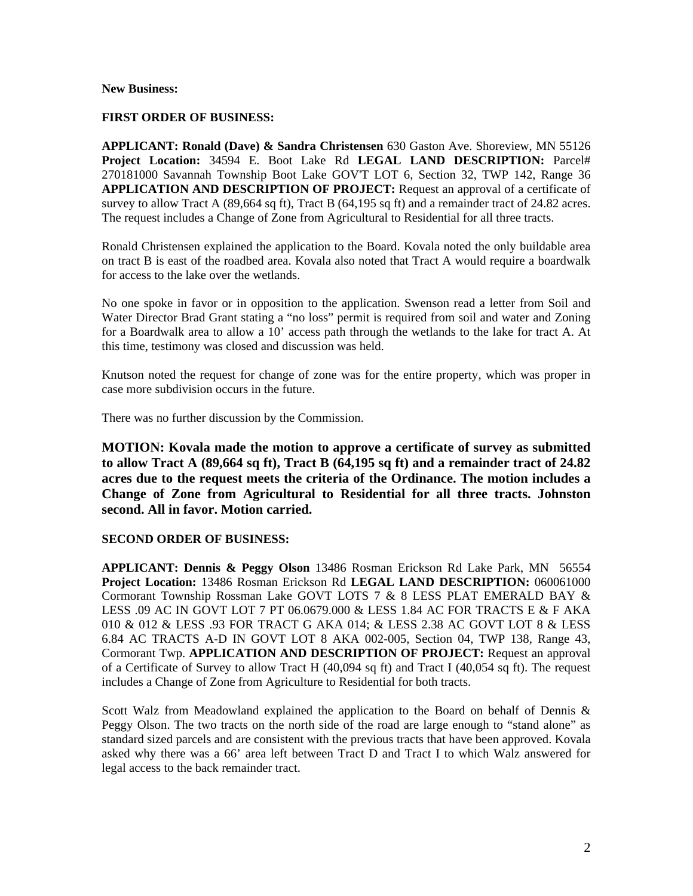#### **New Business:**

### **FIRST ORDER OF BUSINESS:**

**APPLICANT: Ronald (Dave) & Sandra Christensen** 630 Gaston Ave. Shoreview, MN 55126 **Project Location:** 34594 E. Boot Lake Rd **LEGAL LAND DESCRIPTION:** Parcel# 270181000 Savannah Township Boot Lake GOV'T LOT 6, Section 32, TWP 142, Range 36 **APPLICATION AND DESCRIPTION OF PROJECT:** Request an approval of a certificate of survey to allow Tract A (89,664 sq ft), Tract B (64,195 sq ft) and a remainder tract of 24.82 acres. The request includes a Change of Zone from Agricultural to Residential for all three tracts.

Ronald Christensen explained the application to the Board. Kovala noted the only buildable area on tract B is east of the roadbed area. Kovala also noted that Tract A would require a boardwalk for access to the lake over the wetlands.

No one spoke in favor or in opposition to the application. Swenson read a letter from Soil and Water Director Brad Grant stating a "no loss" permit is required from soil and water and Zoning for a Boardwalk area to allow a 10' access path through the wetlands to the lake for tract A. At this time, testimony was closed and discussion was held.

Knutson noted the request for change of zone was for the entire property, which was proper in case more subdivision occurs in the future.

There was no further discussion by the Commission.

**MOTION: Kovala made the motion to approve a certificate of survey as submitted to allow Tract A (89,664 sq ft), Tract B (64,195 sq ft) and a remainder tract of 24.82 acres due to the request meets the criteria of the Ordinance. The motion includes a Change of Zone from Agricultural to Residential for all three tracts. Johnston second. All in favor. Motion carried.** 

### **SECOND ORDER OF BUSINESS:**

**APPLICANT: Dennis & Peggy Olson** 13486 Rosman Erickson Rd Lake Park, MN 56554 **Project Location:** 13486 Rosman Erickson Rd **LEGAL LAND DESCRIPTION:** 060061000 Cormorant Township Rossman Lake GOVT LOTS 7 & 8 LESS PLAT EMERALD BAY & LESS .09 AC IN GOVT LOT 7 PT 06.0679.000 & LESS 1.84 AC FOR TRACTS E & F AKA 010 & 012 & LESS .93 FOR TRACT G AKA 014; & LESS 2.38 AC GOVT LOT 8 & LESS 6.84 AC TRACTS A-D IN GOVT LOT 8 AKA 002-005, Section 04, TWP 138, Range 43, Cormorant Twp. **APPLICATION AND DESCRIPTION OF PROJECT:** Request an approval of a Certificate of Survey to allow Tract H (40,094 sq ft) and Tract I (40,054 sq ft). The request includes a Change of Zone from Agriculture to Residential for both tracts.

Scott Walz from Meadowland explained the application to the Board on behalf of Dennis & Peggy Olson. The two tracts on the north side of the road are large enough to "stand alone" as standard sized parcels and are consistent with the previous tracts that have been approved. Kovala asked why there was a 66' area left between Tract D and Tract I to which Walz answered for legal access to the back remainder tract.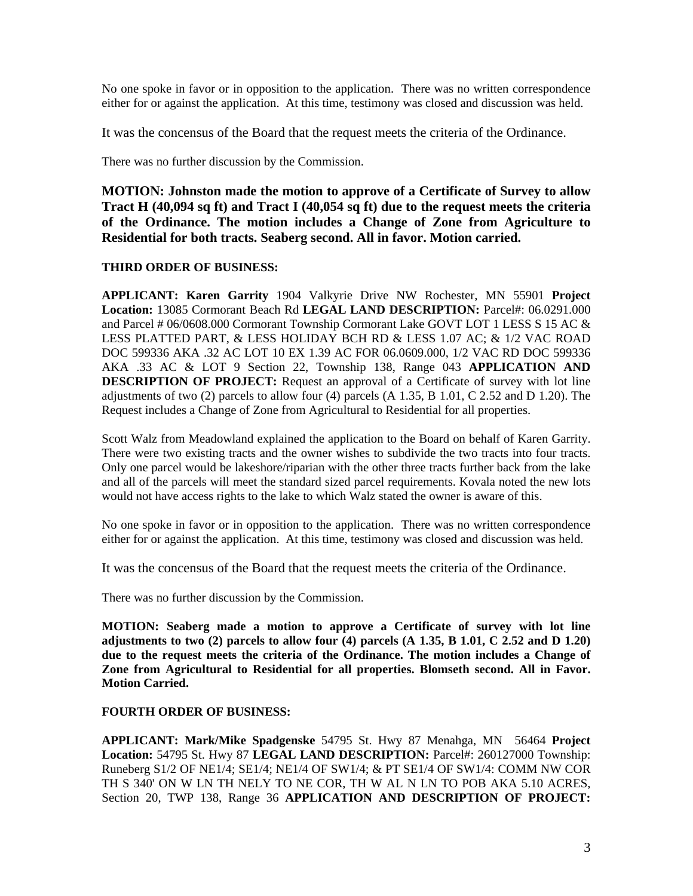No one spoke in favor or in opposition to the application. There was no written correspondence either for or against the application. At this time, testimony was closed and discussion was held.

It was the concensus of the Board that the request meets the criteria of the Ordinance.

There was no further discussion by the Commission.

**MOTION: Johnston made the motion to approve of a Certificate of Survey to allow Tract H (40,094 sq ft) and Tract I (40,054 sq ft) due to the request meets the criteria of the Ordinance. The motion includes a Change of Zone from Agriculture to Residential for both tracts. Seaberg second. All in favor. Motion carried.**

# **THIRD ORDER OF BUSINESS:**

**APPLICANT: Karen Garrity** 1904 Valkyrie Drive NW Rochester, MN 55901 **Project Location:** 13085 Cormorant Beach Rd **LEGAL LAND DESCRIPTION:** Parcel#: 06.0291.000 and Parcel # 06/0608.000 Cormorant Township Cormorant Lake GOVT LOT 1 LESS S 15 AC & LESS PLATTED PART, & LESS HOLIDAY BCH RD & LESS 1.07 AC; & 1/2 VAC ROAD DOC 599336 AKA .32 AC LOT 10 EX 1.39 AC FOR 06.0609.000, 1/2 VAC RD DOC 599336 AKA .33 AC & LOT 9 Section 22, Township 138, Range 043 **APPLICATION AND DESCRIPTION OF PROJECT:** Request an approval of a Certificate of survey with lot line adjustments of two  $(2)$  parcels to allow four  $(4)$  parcels  $(A 1.35, B 1.01, C 2.52$  and D 1.20). The Request includes a Change of Zone from Agricultural to Residential for all properties.

Scott Walz from Meadowland explained the application to the Board on behalf of Karen Garrity. There were two existing tracts and the owner wishes to subdivide the two tracts into four tracts. Only one parcel would be lakeshore/riparian with the other three tracts further back from the lake and all of the parcels will meet the standard sized parcel requirements. Kovala noted the new lots would not have access rights to the lake to which Walz stated the owner is aware of this.

No one spoke in favor or in opposition to the application. There was no written correspondence either for or against the application. At this time, testimony was closed and discussion was held.

It was the concensus of the Board that the request meets the criteria of the Ordinance.

There was no further discussion by the Commission.

**MOTION: Seaberg made a motion to approve a Certificate of survey with lot line adjustments to two (2) parcels to allow four (4) parcels (A 1.35, B 1.01, C 2.52 and D 1.20) due to the request meets the criteria of the Ordinance. The motion includes a Change of Zone from Agricultural to Residential for all properties. Blomseth second. All in Favor. Motion Carried.** 

# **FOURTH ORDER OF BUSINESS:**

**APPLICANT: Mark/Mike Spadgenske** 54795 St. Hwy 87 Menahga, MN 56464 **Project Location:** 54795 St. Hwy 87 **LEGAL LAND DESCRIPTION:** Parcel#: 260127000 Township: Runeberg S1/2 OF NE1/4; SE1/4; NE1/4 OF SW1/4; & PT SE1/4 OF SW1/4: COMM NW COR TH S 340' ON W LN TH NELY TO NE COR, TH W AL N LN TO POB AKA 5.10 ACRES, Section 20, TWP 138, Range 36 **APPLICATION AND DESCRIPTION OF PROJECT:**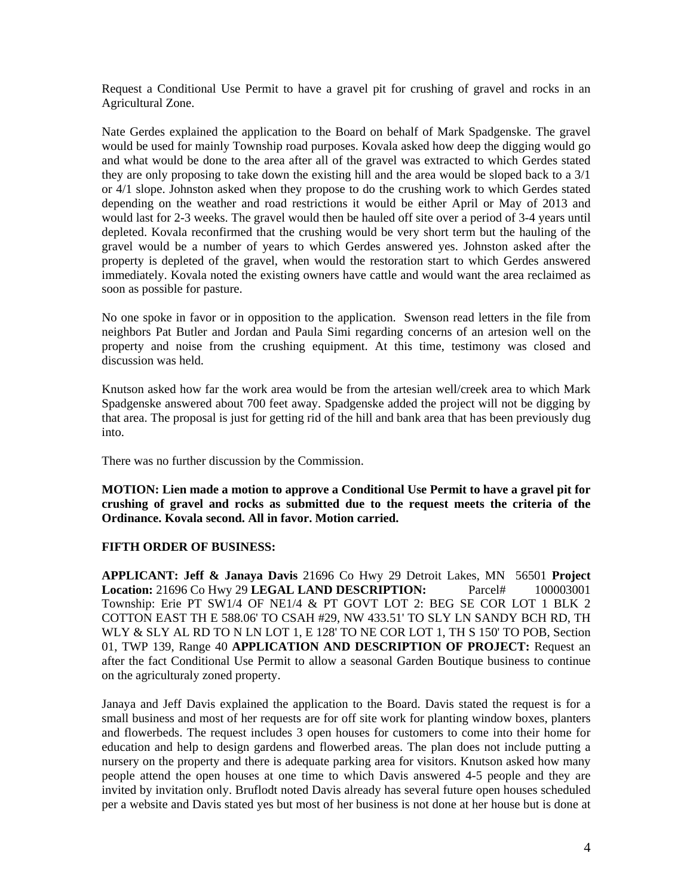Request a Conditional Use Permit to have a gravel pit for crushing of gravel and rocks in an Agricultural Zone.

Nate Gerdes explained the application to the Board on behalf of Mark Spadgenske. The gravel would be used for mainly Township road purposes. Kovala asked how deep the digging would go and what would be done to the area after all of the gravel was extracted to which Gerdes stated they are only proposing to take down the existing hill and the area would be sloped back to a 3/1 or 4/1 slope. Johnston asked when they propose to do the crushing work to which Gerdes stated depending on the weather and road restrictions it would be either April or May of 2013 and would last for 2-3 weeks. The gravel would then be hauled off site over a period of 3-4 years until depleted. Kovala reconfirmed that the crushing would be very short term but the hauling of the gravel would be a number of years to which Gerdes answered yes. Johnston asked after the property is depleted of the gravel, when would the restoration start to which Gerdes answered immediately. Kovala noted the existing owners have cattle and would want the area reclaimed as soon as possible for pasture.

No one spoke in favor or in opposition to the application. Swenson read letters in the file from neighbors Pat Butler and Jordan and Paula Simi regarding concerns of an artesion well on the property and noise from the crushing equipment. At this time, testimony was closed and discussion was held.

Knutson asked how far the work area would be from the artesian well/creek area to which Mark Spadgenske answered about 700 feet away. Spadgenske added the project will not be digging by that area. The proposal is just for getting rid of the hill and bank area that has been previously dug into.

There was no further discussion by the Commission.

**MOTION: Lien made a motion to approve a Conditional Use Permit to have a gravel pit for crushing of gravel and rocks as submitted due to the request meets the criteria of the Ordinance. Kovala second. All in favor. Motion carried.** 

# **FIFTH ORDER OF BUSINESS:**

**APPLICANT: Jeff & Janaya Davis** 21696 Co Hwy 29 Detroit Lakes, MN 56501 **Project Location:** 21696 Co Hwy 29 **LEGAL LAND DESCRIPTION:** Parcel# 100003001 Township: Erie PT SW1/4 OF NE1/4 & PT GOVT LOT 2: BEG SE COR LOT 1 BLK 2 COTTON EAST TH E 588.06' TO CSAH #29, NW 433.51' TO SLY LN SANDY BCH RD, TH WLY & SLY AL RD TO N LN LOT 1, E 128' TO NE COR LOT 1, TH S 150' TO POB, Section 01, TWP 139, Range 40 **APPLICATION AND DESCRIPTION OF PROJECT:** Request an after the fact Conditional Use Permit to allow a seasonal Garden Boutique business to continue on the agriculturaly zoned property.

Janaya and Jeff Davis explained the application to the Board. Davis stated the request is for a small business and most of her requests are for off site work for planting window boxes, planters and flowerbeds. The request includes 3 open houses for customers to come into their home for education and help to design gardens and flowerbed areas. The plan does not include putting a nursery on the property and there is adequate parking area for visitors. Knutson asked how many people attend the open houses at one time to which Davis answered 4-5 people and they are invited by invitation only. Bruflodt noted Davis already has several future open houses scheduled per a website and Davis stated yes but most of her business is not done at her house but is done at